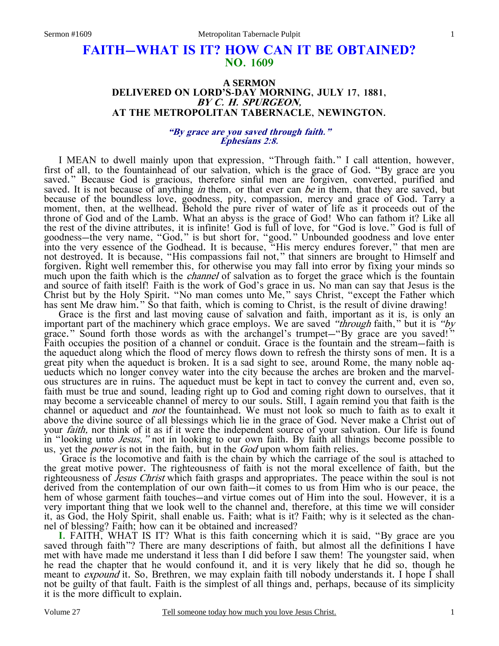# **FAITH—WHAT IS IT? HOW CAN IT BE OBTAINED? NO. 1609**

#### **A SERMON DELIVERED ON LORD'S-DAY MORNING, JULY 17, 1881, BY C. H. SPURGEON, AT THE METROPOLITAN TABERNACLE, NEWINGTON.**

#### **"By grace are you saved through faith." Ephesians 2:8.**

I MEAN to dwell mainly upon that expression, "Through faith." I call attention, however, first of all, to the fountainhead of our salvation, which is the grace of God. "By grace are you saved." Because God is gracious, therefore sinful men are forgiven, converted, purified and saved. It is not because of anything in them, or that ever can be in them, that they are saved, but because of the boundless love, goodness, pity, compassion, mercy and grace of God. Tarry a moment, then, at the wellhead. Behold the pure river of water of life as it proceeds out of the throne of God and of the Lamb. What an abyss is the grace of God! Who can fathom it? Like all the rest of the divine attributes, it is infinite! God is full of love, for "God is love." God is full of goodness—the very name, "God," is but short for, "good." Unbounded goodness and love enter into the very essence of the Godhead. It is because, "His mercy endures forever," that men are not destroyed. It is because, "His compassions fail not," that sinners are brought to Himself and forgiven. Right well remember this, for otherwise you may fall into error by fixing your minds so much upon the faith which is the *channel* of salvation as to forget the grace which is the fountain and source of faith itself! Faith is the work of God's grace in us. No man can say that Jesus is the Christ but by the Holy Spirit. "No man comes unto Me," says Christ, "except the Father which has sent Me draw him." So that faith, which is coming to Christ, is the result of divine drawing!

 Grace is the first and last moving cause of salvation and faith, important as it is, is only an important part of the machinery which grace employs. We are saved "through faith," but it is "by grace." Sound forth those words as with the archangel's trumpet—"By grace are you saved!" Faith occupies the position of a channel or conduit. Grace is the fountain and the stream—faith is the aqueduct along which the flood of mercy flows down to refresh the thirsty sons of men. It is a great pity when the aqueduct is broken. It is a sad sight to see, around Rome, the many noble aqueducts which no longer convey water into the city because the arches are broken and the marvelous structures are in ruins. The aqueduct must be kept in tact to convey the current and, even so, faith must be true and sound, leading right up to God and coming right down to ourselves, that it may become a serviceable channel of mercy to our souls. Still, I again remind you that faith is the channel or aqueduct and *not* the fountainhead. We must not look so much to faith as to exalt it above the divine source of all blessings which lie in the grace of God. Never make a Christ out of your *faith*, nor think of it as if it were the independent source of your salvation. Our life is found in "looking unto *Jesus*, "not in looking to our own faith. By faith all things become possible to us, yet the *power* is not in the faith, but in the  $God$  upon whom faith relies.

 Grace is the locomotive and faith is the chain by which the carriage of the soul is attached to the great motive power. The righteousness of faith is not the moral excellence of faith, but the righteousness of *Jesus Christ* which faith grasps and appropriates. The peace within the soul is not derived from the contemplation of our own faith—it comes to us from Him who is our peace, the hem of whose garment faith touches—and virtue comes out of Him into the soul. However, it is a very important thing that we look well to the channel and, therefore, at this time we will consider it, as God, the Holy Spirit, shall enable us. Faith; what is it? Faith; why is it selected as the channel of blessing? Faith; how can it be obtained and increased?

**I.** FAITH, WHAT IS IT? What is this faith concerning which it is said, "By grace are you saved through faith"? There are many descriptions of faith, but almost all the definitions I have met with have made me understand it less than I did before I saw them! The youngster said, when he read the chapter that he would confound it, and it is very likely that he did so, though he meant to *expound* it. So, Brethren, we may explain faith till nobody understands it. I hope I shall not be guilty of that fault. Faith is the simplest of all things and, perhaps, because of its simplicity it is the more difficult to explain.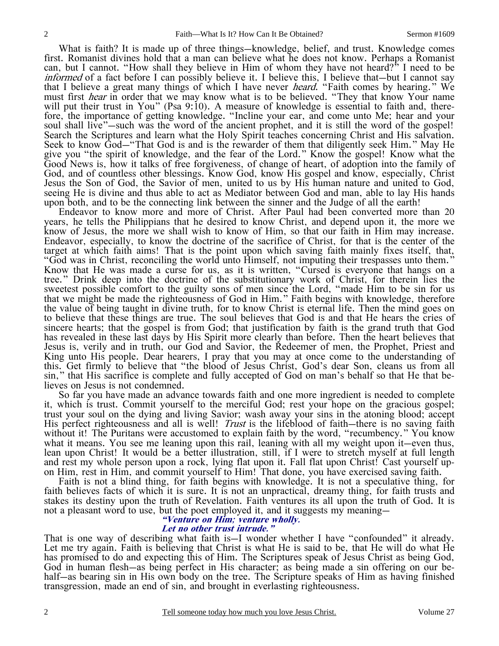What is faith? It is made up of three things—knowledge, belief, and trust. Knowledge comes first. Romanist divines hold that a man can believe what he does not know. Perhaps a Romanist can, but I cannot. "How shall they believe in Him of whom they have not heard?" I need to be informed of a fact before I can possibly believe it. I believe this, I believe that—but I cannot say that I believe a great many things of which I have never heard. "Faith comes by hearing." We must first *hear* in order that we may know what is to be believed. "They that know Your name will put their trust in You" (Psa 9:10). A measure of knowledge is essential to faith and, therefore, the importance of getting knowledge. "Incline your ear, and come unto Me; hear and your soul shall live"—such was the word of the ancient prophet, and it is still the word of the gospel! Search the Scriptures and learn what the Holy Spirit teaches concerning Christ and His salvation. Seek to know God—"That God is and is the rewarder of them that diligently seek Him." May He give you "the spirit of knowledge, and the fear of the Lord." Know the gospel! Know what the Good News is, how it talks of free forgiveness, of change of heart, of adoption into the family of God, and of countless other blessings. Know God, know His gospel and know, especially, Christ Jesus the Son of God, the Savior of men, united to us by His human nature and united to God, seeing He is divine and thus able to act as Mediator between God and man, able to lay His hands upon both, and to be the connecting link between the sinner and the Judge of all the earth!

 Endeavor to know more and more of Christ. After Paul had been converted more than 20 years, he tells the Philippians that he desired to know Christ, and depend upon it, the more we know of Jesus, the more we shall wish to know of Him, so that our faith in Him may increase. Endeavor, especially, to know the doctrine of the sacrifice of Christ, for that is the center of the target at which faith aims! That is the point upon which saving faith mainly fixes itself, that, "God was in Christ, reconciling the world unto Himself, not imputing their trespasses unto them." Know that He was made a curse for us, as it is written, "Cursed is everyone that hangs on a tree." Drink deep into the doctrine of the substitutionary work of Christ, for therein lies the sweetest possible comfort to the guilty sons of men since the Lord, "made Him to be sin for us that we might be made the righteousness of God in Him." Faith begins with knowledge, therefore the value of being taught in divine truth, for to know Christ is eternal life. Then the mind goes on to believe that these things are true. The soul believes that God is and that He hears the cries of sincere hearts; that the gospel is from God; that justification by faith is the grand truth that God has revealed in these last days by His Spirit more clearly than before. Then the heart believes that Jesus is, verily and in truth, our God and Savior, the Redeemer of men, the Prophet, Priest and King unto His people. Dear hearers, I pray that you may at once come to the understanding of this. Get firmly to believe that "the blood of Jesus Christ, God's dear Son, cleans us from all sin," that His sacrifice is complete and fully accepted of God on man's behalf so that He that believes on Jesus is not condemned.

 So far you have made an advance towards faith and one more ingredient is needed to complete it, which is trust. Commit yourself to the merciful God; rest your hope on the gracious gospel; trust your soul on the dying and living Savior; wash away your sins in the atoning blood; accept His perfect righteousness and all is well! *Trust* is the lifeblood of faith—there is no saving faith without it! The Puritans were accustomed to explain faith by the word, "recumbency." You know what it means. You see me leaning upon this rail, leaning with all my weight upon it—even thus, lean upon Christ! It would be a better illustration, still, if I were to stretch myself at full length and rest my whole person upon a rock, lying flat upon it. Fall flat upon Christ! Cast yourself upon Him, rest in Him, and commit yourself to Him! That done, you have exercised saving faith.

 Faith is not a blind thing, for faith begins with knowledge. It is not a speculative thing, for faith believes facts of which it is sure. It is not an unpractical, dreamy thing, for faith trusts and stakes its destiny upon the truth of Revelation. Faith ventures its all upon the truth of God. It is not a pleasant word to use, but the poet employed it, and it suggests my meaning—

## **"Venture on Him; venture wholly.**

## **Let no other trust intrude."**

That is one way of describing what faith is—I wonder whether I have "confounded" it already. Let me try again. Faith is believing that Christ is what He is said to be, that He will do what He has promised to do and expecting this of Him. The Scriptures speak of Jesus Christ as being God, God in human flesh—as being perfect in His character; as being made a sin offering on our behalf—as bearing sin in His own body on the tree. The Scripture speaks of Him as having finished transgression, made an end of sin, and brought in everlasting righteousness.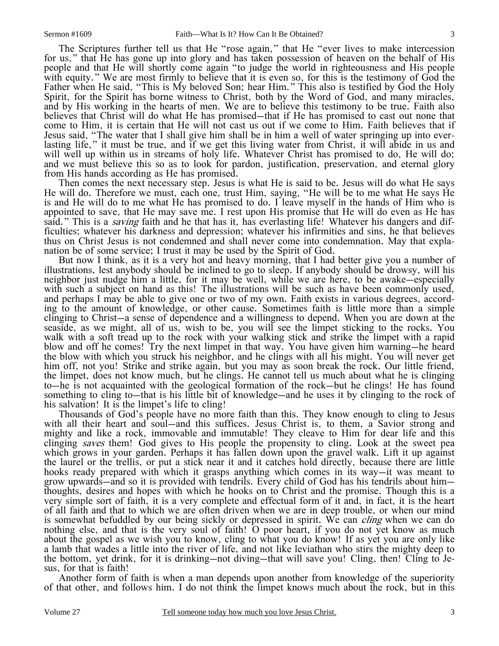The Scriptures further tell us that He "rose again," that He "ever lives to make intercession for us," that He has gone up into glory and has taken possession of heaven on the behalf of His people and that He will shortly come again "to judge the world in righteousness and His people with equity." We are most firmly to believe that it is even so, for this is the testimony of God the Father when He said, "This is My beloved Son; hear Him." This also is testified by God the Holy Spirit, for the Spirit has borne witness to Christ, both by the Word of God, and many miracles, and by His working in the hearts of men. We are to believe this testimony to be true. Faith also believes that Christ will do what He has promised—that if He has promised to cast out none that come to Him, it is certain that He will not cast us out if we come to Him. Faith believes that if Jesus said, "The water that I shall give him shall be in him a well of water springing up into everlasting life," it must be true, and if we get this living water from Christ, it will abide in us and will well up within us in streams of holy life. Whatever Christ has promised to do, He will do; and we must believe this so as to look for pardon, justification, preservation, and eternal glory from His hands according as He has promised.

 Then comes the next necessary step. Jesus is what He is said to be. Jesus will do what He says He will do. Therefore we must, each one, trust Him, saying, "He will be to me what He says He is and He will do to me what He has promised to do. I leave myself in the hands of Him who is appointed to save, that He may save me. I rest upon His promise that He will do even as He has said." This is a *saving* faith and he that has it, has everlasting life! Whatever his dangers and difficulties; whatever his darkness and depression; whatever his infirmities and sins, he that believes thus on Christ Jesus is not condemned and shall never come into condemnation. May that explanation be of some service; I trust it may be used by the Spirit of God.

 But now I think, as it is a very hot and heavy morning, that I had better give you a number of illustrations, lest anybody should be inclined to go to sleep. If anybody should be drowsy, will his neighbor just nudge him a little, for it may be well, while we are here, to be awake—especially with such a subject on hand as this! The illustrations will be such as have been commonly used, and perhaps I may be able to give one or two of my own. Faith exists in various degrees, according to the amount of knowledge, or other cause. Sometimes faith is little more than a simple clinging to Christ—a sense of dependence and a willingness to depend. When you are down at the seaside, as we might, all of us, wish to be, you will see the limpet sticking to the rocks. You walk with a soft tread up to the rock with your walking stick and strike the limpet with a rapid blow and off he comes! Try the next limpet in that way. You have given him warning—he heard the blow with which you struck his neighbor, and he clings with all his might. You will never get him off, not you! Strike and strike again, but you may as soon break the rock. Our little friend, the limpet, does not know much, but he clings. He cannot tell us much about what he is clinging to—he is not acquainted with the geological formation of the rock—but he clings! He has found something to cling to—that is his little bit of knowledge—and he uses it by clinging to the rock of his salvation! It is the limpet's life to cling!

 Thousands of God's people have no more faith than this. They know enough to cling to Jesus with all their heart and soul—and this suffices. Jesus Christ is, to them, a Savior strong and mighty and like a rock, immovable and immutable! They cleave to Him for dear life and this clinging saves them! God gives to His people the propensity to cling. Look at the sweet pea which grows in your garden. Perhaps it has fallen down upon the gravel walk. Lift it up against the laurel or the trellis, or put a stick near it and it catches hold directly, because there are little hooks ready prepared with which it grasps anything which comes in its way—it was meant to grow upwards—and so it is provided with tendrils. Every child of God has his tendrils about him thoughts, desires and hopes with which he hooks on to Christ and the promise. Though this is a very simple sort of faith, it is a very complete and effectual form of it and, in fact, it is the heart of all faith and that to which we are often driven when we are in deep trouble, or when our mind is somewhat befuddled by our being sickly or depressed in spirit. We can *cling* when we can do nothing else, and that is the very soul of faith! O poor heart, if you do not yet know as much about the gospel as we wish you to know, cling to what you do know! If as yet you are only like a lamb that wades a little into the river of life, and not like leviathan who stirs the mighty deep to the bottom, yet drink, for it is drinking—not diving—that will save you! Cling, then! Cling to Jesus, for that is faith!

 Another form of faith is when a man depends upon another from knowledge of the superiority of that other, and follows him. I do not think the limpet knows much about the rock, but in this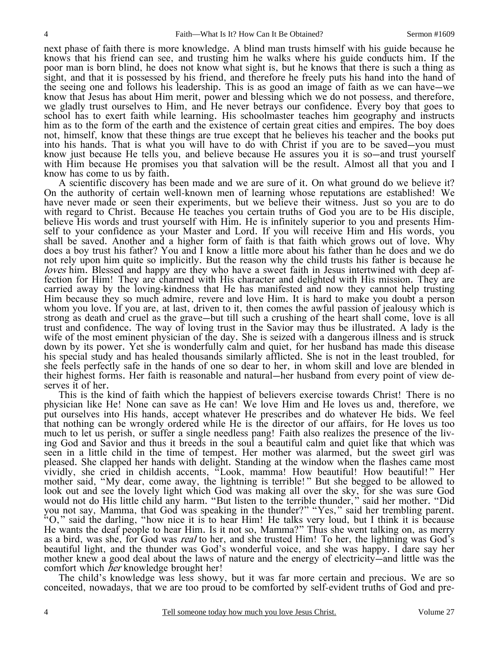next phase of faith there is more knowledge. A blind man trusts himself with his guide because he knows that his friend can see, and trusting him he walks where his guide conducts him. If the poor man is born blind, he does not know what sight is, but he knows that there is such a thing as sight, and that it is possessed by his friend, and therefore he freely puts his hand into the hand of the seeing one and follows his leadership. This is as good an image of faith as we can have—we know that Jesus has about Him merit, power and blessing which we do not possess, and therefore, we gladly trust ourselves to Him, and He never betrays our confidence. Every boy that goes to school has to exert faith while learning. His schoolmaster teaches him geography and instructs him as to the form of the earth and the existence of certain great cities and empires. The boy does not, himself, know that these things are true except that he believes his teacher and the books put into his hands. That is what you will have to do with Christ if you are to be saved—you must know just because He tells you, and believe because He assures you it is so—and trust yourself with Him because He promises you that salvation will be the result. Almost all that you and I know has come to us by faith.

 A scientific discovery has been made and we are sure of it. On what ground do we believe it? On the authority of certain well-known men of learning whose reputations are established! We have never made or seen their experiments, but we believe their witness. Just so you are to do with regard to Christ. Because He teaches you certain truths of God you are to be His disciple, believe His words and trust yourself with Him. He is infinitely superior to you and presents Himself to your confidence as your Master and Lord. If you will receive Him and His words, you shall be saved. Another and a higher form of faith is that faith which grows out of love. Why does a boy trust his father? You and I know a little more about his father than he does and we do not rely upon him quite so implicitly. But the reason why the child trusts his father is because he *loves* him. Blessed and happy are they who have a sweet faith in Jesus intertwined with deep affection for Him! They are charmed with His character and delighted with His mission. They are carried away by the loving-kindness that He has manifested and now they cannot help trusting Him because they so much admire, revere and love Him. It is hard to make you doubt a person whom you love. If you are, at last, driven to it, then comes the awful passion of jealousy which is strong as death and cruel as the grave—but till such a crushing of the heart shall come, love is all trust and confidence. The way of loving trust in the Savior may thus be illustrated. A lady is the wife of the most eminent physician of the day. She is seized with a dangerous illness and is struck down by its power. Yet she is wonderfully calm and quiet, for her husband has made this disease his special study and has healed thousands similarly afflicted. She is not in the least troubled, for she feels perfectly safe in the hands of one so dear to her, in whom skill and love are blended in their highest forms. Her faith is reasonable and natural—her husband from every point of view deserves it of her.

 This is the kind of faith which the happiest of believers exercise towards Christ! There is no physician like He! None can save as He can! We love Him and He loves us and, therefore, we put ourselves into His hands, accept whatever He prescribes and do whatever He bids. We feel that nothing can be wrongly ordered while He is the director of our affairs, for He loves us too much to let us perish, or suffer a single needless pang! Faith also realizes the presence of the living God and Savior and thus it breeds in the soul a beautiful calm and quiet like that which was seen in a little child in the time of tempest. Her mother was alarmed, but the sweet girl was pleased. She clapped her hands with delight. Standing at the window when the flashes came most vividly, she cried in childish accents, "Look, mamma! How beautiful! How beautiful!" Her mother said, "My dear, come away, the lightning is terrible!" But she begged to be allowed to look out and see the lovely light which God was making all over the sky, for she was sure God would not do His little child any harm. "But listen to the terrible thunder," said her mother. "Did you not say, Mamma, that God was speaking in the thunder?" "Yes," said her trembling parent. "O," said the darling, "how nice it is to hear Him! He talks very loud, but I think it is because He wants the deaf people to hear Him. Is it not so, Mamma?" Thus she went talking on, as merry as a bird, was she, for God was real to her, and she trusted Him! To her, the lightning was God's beautiful light, and the thunder was God's wonderful voice, and she was happy. I dare say her mother knew a good deal about the laws of nature and the energy of electricity—and little was the comfort which her knowledge brought her!

 The child's knowledge was less showy, but it was far more certain and precious. We are so conceited, nowadays, that we are too proud to be comforted by self-evident truths of God and pre-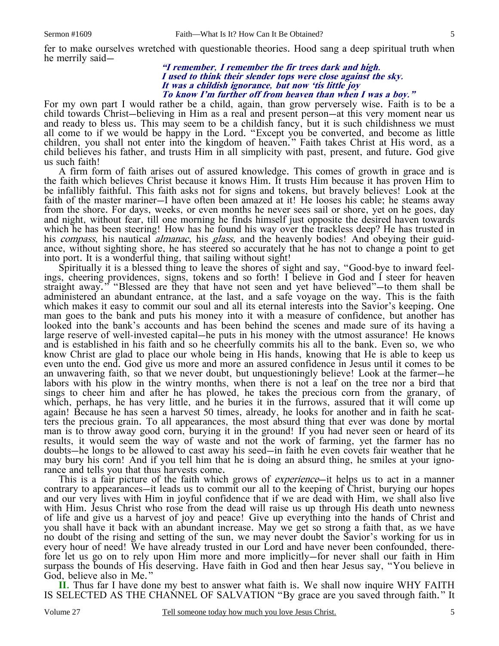fer to make ourselves wretched with questionable theories. Hood sang a deep spiritual truth when he merrily said—

**"I remember, I remember the fir trees dark and high. I used to think their slender tops were close against the sky. It was a childish ignorance, but now 'tis little joy To know I'm further off from heaven than when I was a boy."** 

For my own part I would rather be a child, again, than grow perversely wise. Faith is to be a child towards Christ—believing in Him as a real and present person—at this very moment near us and ready to bless us. This may seem to be a childish fancy, but it is such childishness we must all come to if we would be happy in the Lord. "Except you be converted, and become as little children, you shall not enter into the kingdom of heaven." Faith takes Christ at His word, as a child believes his father, and trusts Him in all simplicity with past, present, and future. God give us such faith!

 A firm form of faith arises out of assured knowledge. This comes of growth in grace and is the faith which believes Christ because it knows Him. It trusts Him because it has proven Him to be infallibly faithful. This faith asks not for signs and tokens, but bravely believes! Look at the faith of the master mariner—I have often been amazed at it! He looses his cable; he steams away from the shore. For days, weeks, or even months he never sees sail or shore, yet on he goes, day and night, without fear, till one morning he finds himself just opposite the desired haven towards which he has been steering! How has he found his way over the trackless deep? He has trusted in his *compass*, his nautical *almanac*, his *glass*, and the heavenly bodies! And obeying their guidance, without sighting shore, he has steered so accurately that he has not to change a point to get into port. It is a wonderful thing, that sailing without sight!

 Spiritually it is a blessed thing to leave the shores of sight and say, "Good-bye to inward feelings, cheering providences, signs, tokens and so forth! I believe in God and I steer for heaven straight away." "Blessed are they that have not seen and yet have believed"—to them shall be administered an abundant entrance, at the last, and a safe voyage on the way. This is the faith which makes it easy to commit our soul and all its eternal interests into the Savior's keeping. One man goes to the bank and puts his money into it with a measure of confidence, but another has looked into the bank's accounts and has been behind the scenes and made sure of its having a large reserve of well-invested capital—he puts in his money with the utmost assurance! He knows and is established in his faith and so he cheerfully commits his all to the bank. Even so, we who know Christ are glad to place our whole being in His hands, knowing that He is able to keep us even unto the end. God give us more and more an assured confidence in Jesus until it comes to be an unwavering faith, so that we never doubt, but unquestioningly believe! Look at the farmer—he labors with his plow in the wintry months, when there is not a leaf on the tree nor a bird that sings to cheer him and after he has plowed, he takes the precious corn from the granary, of which, perhaps, he has very little, and he buries it in the furrows, assured that it will come up again! Because he has seen a harvest 50 times, already, he looks for another and in faith he scatters the precious grain. To all appearances, the most absurd thing that ever was done by mortal man is to throw away good corn, burying it in the ground! If you had never seen or heard of its results, it would seem the way of waste and not the work of farming, yet the farmer has no doubts—he longs to be allowed to cast away his seed—in faith he even covets fair weather that he may bury his corn! And if you tell him that he is doing an absurd thing, he smiles at your ignorance and tells you that thus harvests come.

This is a fair picture of the faith which grows of *experience*—it helps us to act in a manner contrary to appearances—it leads us to commit our all to the keeping of Christ, burying our hopes and our very lives with Him in joyful confidence that if we are dead with Him, we shall also live with Him. Jesus Christ who rose from the dead will raise us up through His death unto newness of life and give us a harvest of joy and peace! Give up everything into the hands of Christ and you shall have it back with an abundant increase. May we get so strong a faith that, as we have no doubt of the rising and setting of the sun, we may never doubt the Savior's working for us in every hour of need! We have already trusted in our Lord and have never been confounded, therefore let us go on to rely upon Him more and more implicitly—for never shall our faith in Him surpass the bounds of His deserving. Have faith in God and then hear Jesus say, "You believe in God, believe also in Me."

**II.** Thus far I have done my best to answer what faith is. We shall now inquire WHY FAITH IS SELECTED AS THE CHANNEL OF SALVATION "By grace are you saved through faith." It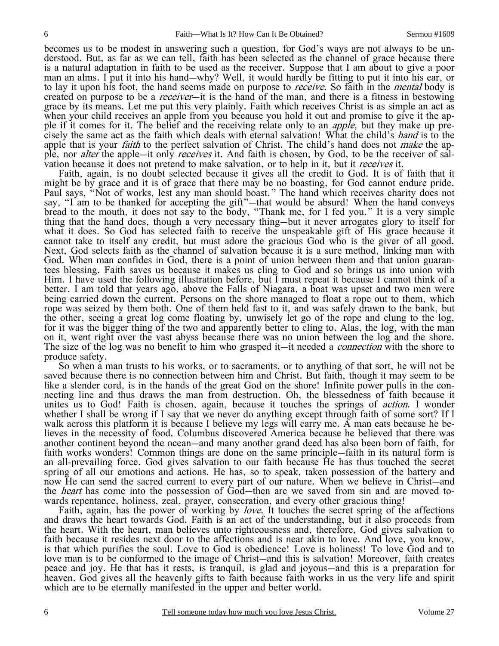becomes us to be modest in answering such a question, for God's ways are not always to be understood. But, as far as we can tell, faith has been selected as the channel of grace because there is a natural adaptation in faith to be used as the receiver. Suppose that I am about to give a poor man an alms. I put it into his hand—why? Well, it would hardly be fitting to put it into his ear, or to lay it upon his foot, the hand seems made on purpose to *receive*. So faith in the *mental* body is created on purpose to be a *receiver*—it is the hand of the man, and there is a fitness in bestowing grace by its means. Let me put this very plainly. Faith which receives Christ is as simple an act as when your child receives an apple from you because you hold it out and promise to give it the apple if it comes for it. The belief and the receiving relate only to an *apple*, but they make up precisely the same act as the faith which deals with eternal salvation! What the child's hand is to the apple that is your *faith* to the perfect salvation of Christ. The child's hand does not *make* the apple, nor alter the apple—it only receives it. And faith is chosen, by God, to be the receiver of salvation because it does not pretend to make salvation, or to help in it, but it receives it.

 Faith, again, is no doubt selected because it gives all the credit to God. It is of faith that it might be by grace and it is of grace that there may be no boasting, for God cannot endure pride. Paul says, "Not of works, lest any man should boast." The hand which receives charity does not say, "I am to be thanked for accepting the gift"—that would be absurd! When the hand conveys bread to the mouth, it does not say to the body, "Thank me, for I fed you." It is a very simple thing that the hand does, though a very necessary thing—but it never arrogates glory to itself for what it does. So God has selected faith to receive the unspeakable gift of His grace because it cannot take to itself any credit, but must adore the gracious God who is the giver of all good. Next, God selects faith as the channel of salvation because it is a sure method, linking man with God. When man confides in God, there is a point of union between them and that union guarantees blessing. Faith saves us because it makes us cling to God and so brings us into union with Him. I have used the following illustration before, but I must repeat it because I cannot think of a better. I am told that years ago, above the Falls of Niagara, a boat was upset and two men were being carried down the current. Persons on the shore managed to float a rope out to them, which rope was seized by them both. One of them held fast to it, and was safely drawn to the bank, but the other, seeing a great log come floating by, unwisely let go of the rope and clung to the log, for it was the bigger thing of the two and apparently better to cling to. Alas, the log, with the man on it, went right over the vast abyss because there was no union between the log and the shore. The size of the log was no benefit to him who grasped it—it needed a *connection* with the shore to produce safety.

 So when a man trusts to his works, or to sacraments, or to anything of that sort, he will not be saved because there is no connection between him and Christ. But faith, though it may seem to be like a slender cord, is in the hands of the great God on the shore! Infinite power pulls in the connecting line and thus draws the man from destruction. Oh, the blessedness of faith because it unites us to God! Faith is chosen, again, because it touches the springs of *action*. I wonder whether I shall be wrong if I say that we never do anything except through faith of some sort? If I walk across this platform it is because I believe my legs will carry me. A man eats because he believes in the necessity of food. Columbus discovered America because he believed that there was another continent beyond the ocean—and many another grand deed has also been born of faith, for faith works wonders! Common things are done on the same principle—faith in its natural form is an all-prevailing force. God gives salvation to our faith because He has thus touched the secret spring of all our emotions and actions. He has, so to speak, taken possession of the battery and now He can send the sacred current to every part of our nature. When we believe in Christ—and the heart has come into the possession of God—then are we saved from sin and are moved towards repentance, holiness, zeal, prayer, consecration, and every other gracious thing!

Faith, again, has the power of working by *love*. It touches the secret spring of the affections and draws the heart towards God. Faith is an act of the understanding, but it also proceeds from the heart. With the heart, man believes unto righteousness and, therefore, God gives salvation to faith because it resides next door to the affections and is near akin to love. And love, you know, is that which purifies the soul. Love to God is obedience! Love is holiness! To love God and to love man is to be conformed to the image of Christ—and this is salvation! Moreover, faith creates peace and joy. He that has it rests, is tranquil, is glad and joyous—and this is a preparation for heaven. God gives all the heavenly gifts to faith because faith works in us the very life and spirit which are to be eternally manifested in the upper and better world.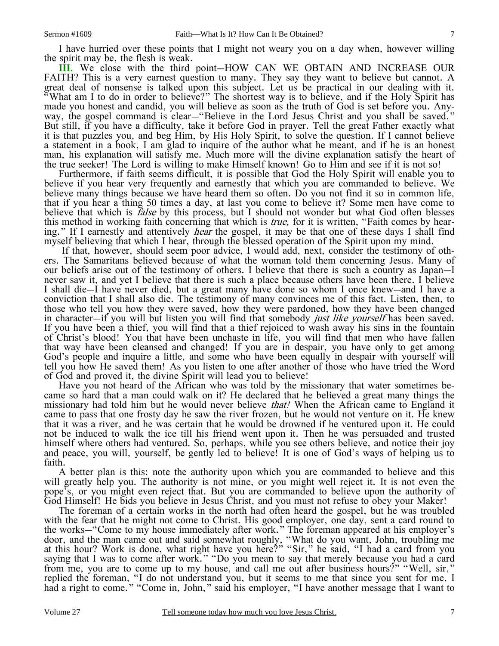I have hurried over these points that I might not weary you on a day when, however willing the spirit may be, the flesh is weak.

**III.** We close with the third point—HOW CAN WE OBTAIN AND INCREASE OUR FAITH? This is a very earnest question to many. They say they want to believe but cannot. A great deal of nonsense is talked upon this subject. Let us be practical in our dealing with it. "What am I to do in order to believe?" The shortest way is to believe, and if the Holy Spirit has made you honest and candid, you will believe as soon as the truth of God is set before you. Anyway, the gospel command is clear—"Believe in the Lord Jesus Christ and you shall be saved." But still, if you have a difficulty, take it before God in prayer. Tell the great Father exactly what it is that puzzles you, and beg Him, by His Holy Spirit, to solve the question. If I cannot believe a statement in a book, I am glad to inquire of the author what he meant, and if he is an honest man, his explanation will satisfy me. Much more will the divine explanation satisfy the heart of the true seeker! The Lord is willing to make Himself known! Go to Him and see if it is not so!

 Furthermore, if faith seems difficult, it is possible that God the Holy Spirit will enable you to believe if you hear very frequently and earnestly that which you are commanded to believe. We believe many things because we have heard them so often. Do you not find it so in common life, that if you hear a thing 50 times a day, at last you come to believe it? Some men have come to believe that which is *false* by this process, but I should not wonder but what God often blesses this method in working faith concerning that which is *true*, for it is written, "Faith comes by hearing." If I earnestly and attentively *hear* the gospel, it may be that one of these days I shall find myself believing that which I hear, through the blessed operation of the Spirit upon my mind.

 If that, however, should seem poor advice, I would add, next, consider the testimony of others. The Samaritans believed because of what the woman told them concerning Jesus. Many of our beliefs arise out of the testimony of others. I believe that there is such a country as Japan—I never saw it, and yet I believe that there is such a place because others have been there. I believe I shall die—I have never died, but a great many have done so whom I once knew—and I have a conviction that I shall also die. The testimony of many convinces me of this fact. Listen, then, to those who tell you how they were saved, how they were pardoned, how they have been changed in character—if you will but listen you will find that somebody just like yourself has been saved. If you have been a thief, you will find that a thief rejoiced to wash away his sins in the fountain of Christ's blood! You that have been unchaste in life, you will find that men who have fallen that way have been cleansed and changed! If you are in despair, you have only to get among God's people and inquire a little, and some who have been equally in despair with yourself will tell you how He saved them! As you listen to one after another of those who have tried the Word of God and proved it, the divine Spirit will lead you to believe!

 Have you not heard of the African who was told by the missionary that water sometimes became so hard that a man could walk on it? He declared that he believed a great many things the missionary had told him but he would never believe *that!* When the African came to England it came to pass that one frosty day he saw the river frozen, but he would not venture on it. He knew that it was a river, and he was certain that he would be drowned if he ventured upon it. He could not be induced to walk the ice till his friend went upon it. Then he was persuaded and trusted himself where others had ventured. So, perhaps, while you see others believe, and notice their joy and peace, you will, yourself, be gently led to believe! It is one of God's ways of helping us to faith.

 A better plan is this: note the authority upon which you are commanded to believe and this will greatly help you. The authority is not mine, or you might well reject it. It is not even the pope's, or you might even reject that. But you are commanded to believe upon the authority of God Himself! He bids you believe in Jesus Christ, and you must not refuse to obey your Maker!

 The foreman of a certain works in the north had often heard the gospel, but he was troubled with the fear that he might not come to Christ. His good employer, one day, sent a card round to the works—"Come to my house immediately after work." The foreman appeared at his employer's door, and the man came out and said somewhat roughly, "What do you want, John, troubling me at this hour? Work is done, what right have you here?" "Sir," he said, "I had a card from you saying that I was to come after work." "Do you mean to say that merely because you had a card from me, you are to come up to my house, and call me out after business hours?" "Well, sir," replied the foreman, "I do not understand you, but it seems to me that since you sent for me, I had a right to come." "Come in, John," said his employer, "I have another message that I want to